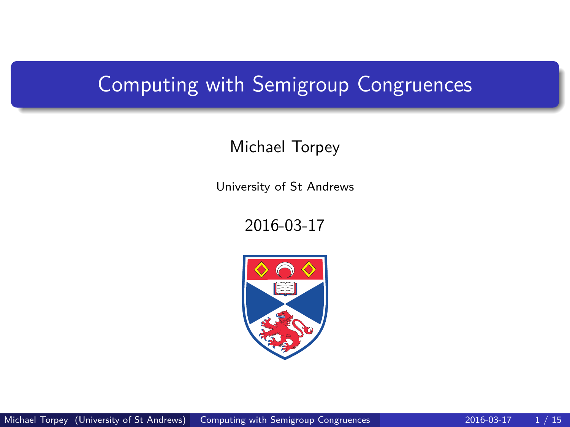### <span id="page-0-0"></span>Computing with Semigroup Congruences

### Michael Torpey

University of St Andrews

#### 2016-03-17

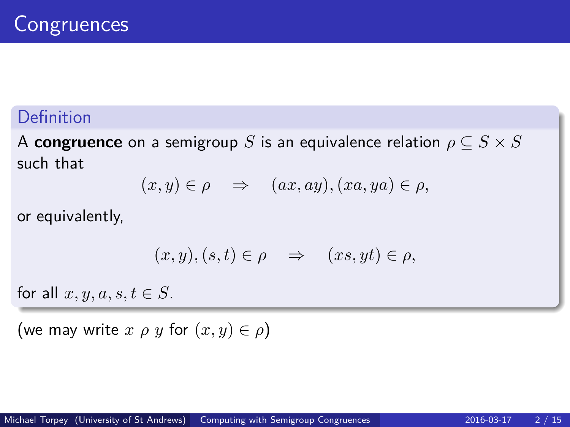### Definition

A **congruence** on a semigroup *S* is an equivalence relation  $\rho \subset S \times S$ such that

$$
(x,y)\in\rho\quad\Rightarrow\quad(ax,ay),(xa,ya)\in\rho,
$$

or equivalently,

$$
(x, y), (s, t) \in \rho \quad \Rightarrow \quad (xs, yt) \in \rho,
$$

for all  $x, y, a, s, t \in S$ .

(we may write  $x \rho y$  for  $(x, y) \in \rho$ )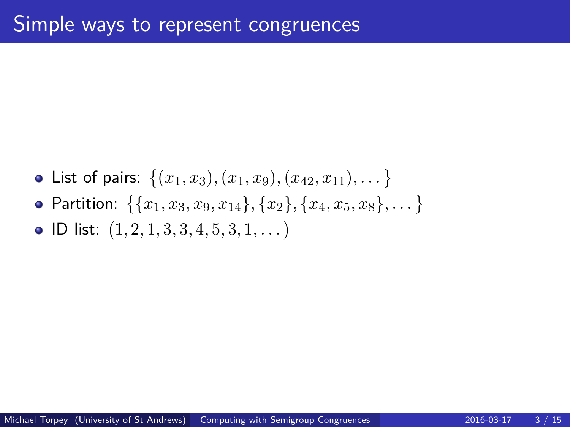List of pairs:  $\{(x_1, x_3), (x_1, x_9), (x_{42}, x_{11}), \dots\}$  ${\sf Partition:} \ \ \{\{x_1, x_3, x_9, x_{14}\}, \{x_2\}, \{x_4, x_5, x_8\}, \dots\}$ ID list: 1*,* 2*,* 1*,* 3*,* 3*,* 4*,* 5*,* 3*,* 1*, . . .*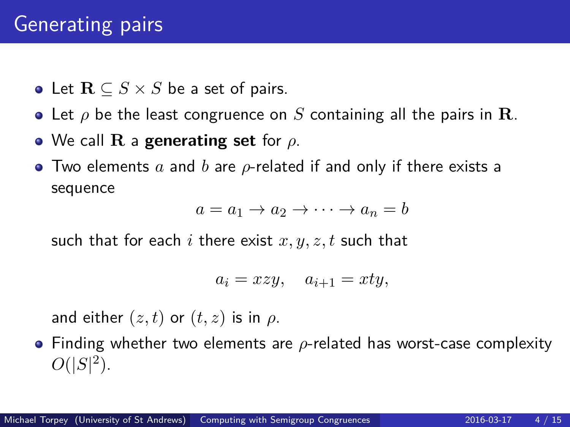Let **R** ⊆ *S* × *S* be a set of pairs.

- Let *ρ* be the least congruence on *S* containing all the pairs in **R**.
- We call **R** a **generating set** for *ρ*.
- Two elements *a* and *b* are *ρ*-related if and only if there exists a sequence

$$
a = a_1 \to a_2 \to \cdots \to a_n = b
$$

such that for each *i* there exist *x, y, z, t* such that

$$
a_i = xzy, \quad a_{i+1} = xty,
$$

and either  $(z, t)$  or  $(t, z)$  is in  $\rho$ .

Finding whether two elements are *ρ*-related has worst-case complexity  $O(|S|^2)$ .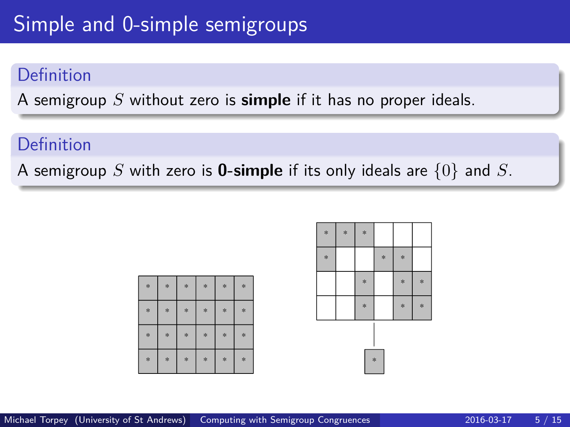## Simple and 0-simple semigroups

### Definition

A semigroup *S* without zero is **simple** if it has no proper ideals.

### Definition

A semigroup *S* with zero is **0-simple** if its only ideals are {0} and *S*.

|        | $*$    | *   | $*$ | *   | $\ast$ |
|--------|--------|-----|-----|-----|--------|
| $*$    | $*$    | $*$ | $*$ | $*$ | $\ast$ |
| $\ast$ | $\ast$ | $*$ | $*$ | $*$ | $\ast$ |
| $*$    | $*$    | *   | $*$ | $*$ | $\ast$ |

| $\ast$ | * | $\ast$ |        |        |        |  |  |  |  |  |
|--------|---|--------|--------|--------|--------|--|--|--|--|--|
| $\ast$ |   |        | $\ast$ | $\ast$ |        |  |  |  |  |  |
|        |   | $\ast$ |        | $\ast$ | $\ast$ |  |  |  |  |  |
|        |   | $\ast$ |        | $\ast$ | ×      |  |  |  |  |  |
| *      |   |        |        |        |        |  |  |  |  |  |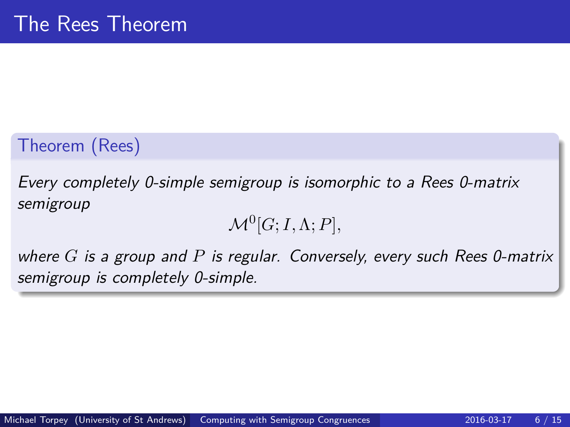### Theorem (Rees)

Every completely 0-simple semigroup is isomorphic to a Rees 0-matrix semigroup

 $\mathcal{M}^0[G; I, \Lambda; P],$ 

where *G* is a group and *P* is regular. Conversely, every such Rees 0-matrix semigroup is completely 0-simple.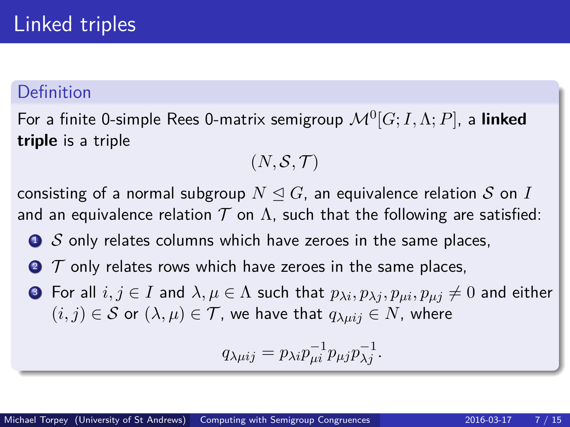### Definition

For a finite 0-simple Rees 0-matrix semigroup M<sup>0</sup> [*G*; *I,*Λ; *P*], a **linked triple** is a triple

$$
(N,\mathcal{S},\mathcal{T})
$$

consisting of a normal subgroup  $N \triangleleft G$ , an equivalence relation S on I and an equivalence relation  $T$  on  $\Lambda$ , such that the following are satisfied:

- $\bullet$  S only relates columns which have zeroes in the same places,
- $\bullet$   $\tau$  only relates rows which have zeroes in the same places,
- **3** For all  $i, j \in I$  and  $\lambda, \mu \in \Lambda$  such that  $p_{\lambda i}, p_{\lambda i}, p_{\mu i}, p_{\mu j} \neq 0$  and either  $(i, j) \in S$  or  $(\lambda, \mu) \in T$ , we have that  $q_{\lambda \mu i j} \in N$ , where

$$
q_{\lambda\mu ij} = p_{\lambda i} p_{\mu i}^{-1} p_{\mu j} p_{\lambda j}^{-1}.
$$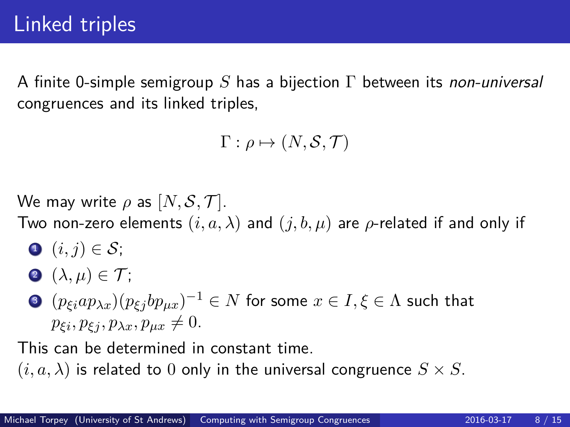A finite 0-simple semigroup *S* has a bijection Γ between its non-universal congruences and its linked triples,

 $\Gamma: \rho \mapsto (N, \mathcal{S}, \mathcal{T})$ 

We may write  $\rho$  as  $[N, \mathcal{S}, \mathcal{T}]$ .

Two non-zero elements  $(i, a, \lambda)$  and  $(j, b, \mu)$  are  $\rho$ -related if and only if

$$
\bullet \ \ (i,j) \in \mathcal{S};
$$

$$
\bullet\; (\lambda,\mu)\in\mathcal{T};
$$

 $\textbf{3}$   $(p_{\xi i}ap_{\lambda x})(p_{\xi j}bp_{\mu x})^{-1}\in N$  for some  $x\in I, \xi\in \Lambda$  such that  $p_{\xi i}, p_{\xi i}, p_{\lambda x}, p_{\mu x} \neq 0.$ 

This can be determined in constant time.

 $(i, a, \lambda)$  is related to 0 only in the universal congruence  $S \times S$ .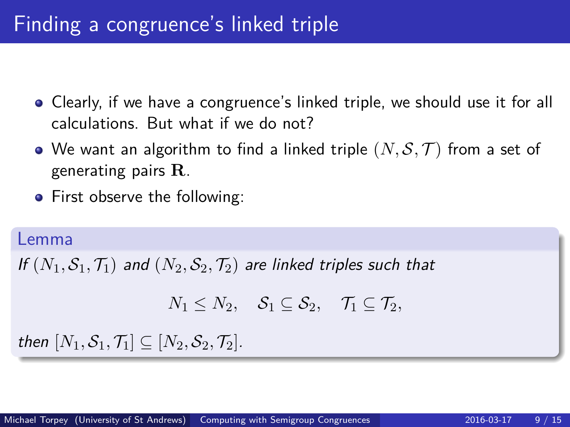## Finding a congruence's linked triple

- Clearly, if we have a congruence's linked triple, we should use it for all calculations. But what if we do not?
- We want an algorithm to find a linked triple  $(N, \mathcal{S}, \mathcal{T})$  from a set of generating pairs **R**.
- First observe the following:

#### Lemma

If  $(N_1, S_1, T_1)$  and  $(N_2, S_2, T_2)$  are linked triples such that

$$
N_1 \leq N_2, \quad \mathcal{S}_1 \subseteq \mathcal{S}_2, \quad \mathcal{T}_1 \subseteq \mathcal{T}_2,
$$

then  $[N_1, \mathcal{S}_1, \mathcal{T}_1] \subseteq [N_2, \mathcal{S}_2, \mathcal{T}_2]$ .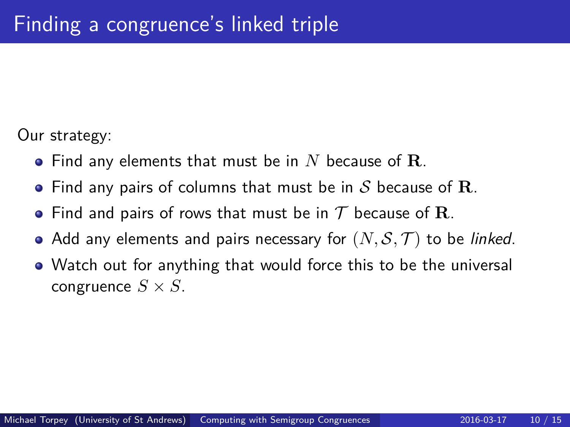Our strategy:

- Find any elements that must be in *N* because of **R**.
- Find any pairs of columns that must be in S because of **R**.
- Find and pairs of rows that must be in  $\mathcal T$  because of **R**.
- Add any elements and pairs necessary for  $(N, \mathcal{S}, \mathcal{T})$  to be *linked*.
- Watch out for anything that would force this to be the universal congruence  $S \times S$ .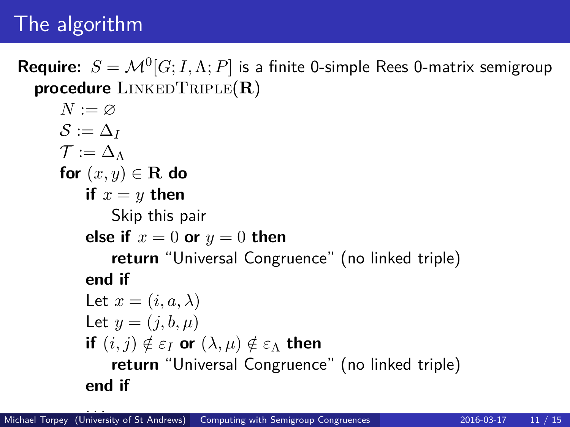# The algorithm

 $\textbf{Required: } S = \mathcal{M}^0[G; I, \Lambda; P]$  is a finite 0-simple Rees 0-matrix semigroup **procedure** LinkedTriple(**R**)

```
N := \varnothing\mathcal{S} := \Delta_I\mathcal{T} := \Delta_{\Lambda}for (x, y) \in \mathbf{R} do
if x = y then
     Skip this pair
else if x = 0 or y = 0 then
     return "Universal Congruence" (no linked triple)
end if
Let x = (i, a, \lambda)Let y = (i, b, u)if (i, j) \notin \varepsilon_I or (\lambda, \mu) \notin \varepsilon_\Lambda then
     return "Universal Congruence" (no linked triple)
end if
```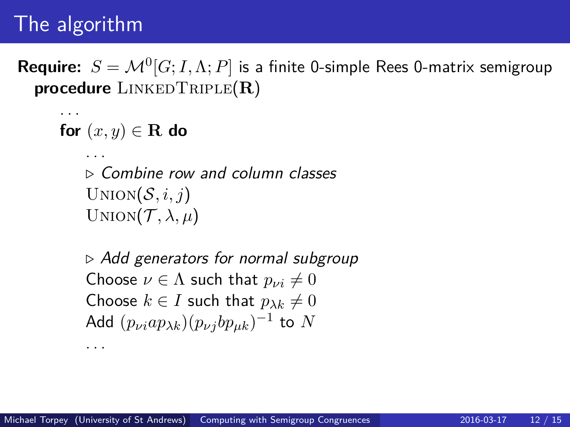# The algorithm

. . .

 $\textbf{Required: } S = \mathcal{M}^0[G; I, \Lambda; P]$  is a finite 0-simple Rees 0-matrix semigroup **procedure** LinkedTriple(**R**)

```
for (x, y) \in \mathbf{R} do
```
. . .

. . .

*.* Combine row and column classes  $Union(\mathcal{S}, i, j)$ UNION $(\mathcal{T}, \lambda, \mu)$ 

*.* Add generators for normal subgroup Choose  $\nu \in \Lambda$  such that  $p_{\nu i} \neq 0$ Choose  $k \in I$  such that  $p_{\lambda k} \neq 0$  $\mathsf{Add}\,\left(p_{\nu i} a p_{\lambda k}\right)\! (p_{\nu j} b p_{\mu k})^{-1}$  to  $N$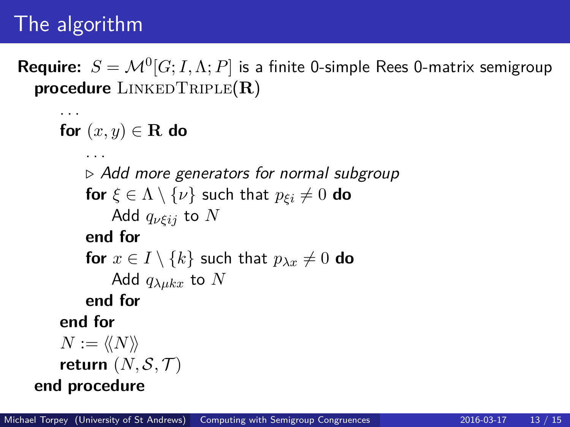# The algorithm

 $\textbf{Required: } S = \mathcal{M}^0[G; I, \Lambda; P]$  is a finite 0-simple Rees 0-matrix semigroup **procedure** LinkedTriple(**R**)

```
. . .
for (x, y) \in \mathbf{R} do
      . . .
     . Add more generators for normal subgroup
     for \xi \in \Lambda \setminus \{\nu\} such that p_{\xi i} \neq 0 do
          Add qνξij to N
     end for
     for x \in I \setminus \{k\} such that p_{\lambda x} \neq 0 do
          Add q_{\lambda\mu kx} to Nend for
end for
N := \langle\langle N \rangle\ranglereturn (N, \mathcal{S}, \mathcal{T})end procedure
```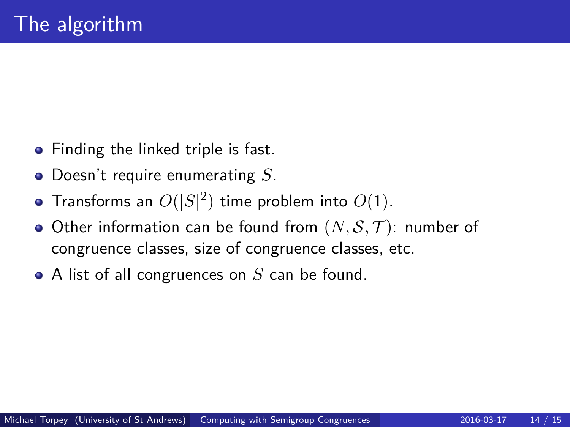- Finding the linked triple is fast.
- Doesn't require enumerating *S*.
- Transforms an  $O(|S|^2)$  time problem into  $O(1)$ .
- Other information can be found from  $(N, \mathcal{S}, \mathcal{T})$ : number of congruence classes, size of congruence classes, etc.
- A list of all congruences on *S* can be found.